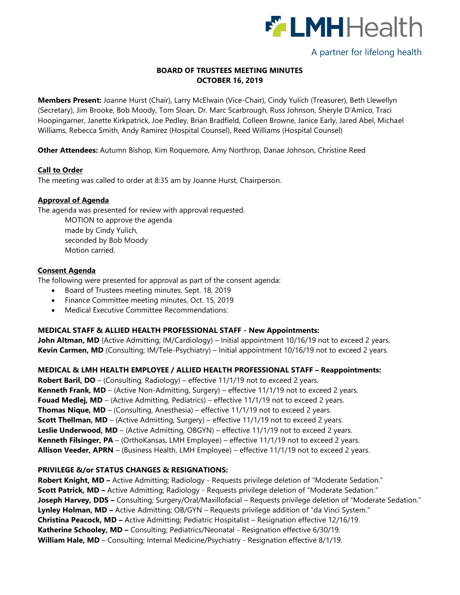

# A partner for lifelong health

## **BOARD OF TRUSTEES MEETING MINUTES OCTOBER 16, 2019**

**Members Present:** Joanne Hurst (Chair), Larry McElwain (Vice-Chair), Cindy Yulich (Treasurer), Beth Llewellyn (Secretary), Jim Brooke, Bob Moody, Tom Sloan, Dr. Marc Scarbrough, Russ Johnson, Sheryle D'Amico, Traci Hoopingarner, Janette Kirkpatrick, Joe Pedley, Brian Bradfield, Colleen Browne, Janice Early, Jared Abel, Michael Williams, Rebecca Smith, Andy Ramirez (Hospital Counsel), Reed Williams (Hospital Counsel)

**Other Attendees:** Autumn Bishop, Kim Roquemore, Amy Northrop, Danae Johnson, Christine Reed

### **Call to Order**

The meeting was called to order at 8:35 am by Joanne Hurst, Chairperson.

### **Approval of Agenda**

The agenda was presented for review with approval requested.

MOTION to approve the agenda made by Cindy Yulich, seconded by Bob Moody Motion carried.

### **Consent Agenda**

The following were presented for approval as part of the consent agenda:

- Board of Trustees meeting minutes, Sept. 18, 2019
- Finance Committee meeting minutes, Oct. 15, 2019
- Medical Executive Committee Recommendations:

# **MEDICAL STAFF & ALLIED HEALTH PROFESSIONAL STAFF - New Appointments:**

**John Altman, MD** (Active Admitting; IM/Cardiology) – Initial appointment 10/16/19 not to exceed 2 years. **Kevin Carmen, MD** (Consulting; IM/Tele-Psychiatry) – Initial appointment 10/16/19 not to exceed 2 years.

**MEDICAL & LMH HEALTH EMPLOYEE / ALLIED HEALTH PROFESSIONAL STAFF – Reappointments: Robert Baril, DO** – (Consulting, Radiology) – effective 11/1/19 not to exceed 2 years. **Kenneth Frank, MD** – (Active Non-Admitting, Surgery) – effective 11/1/19 not to exceed 2 years. **Fouad Medlej, MD** – (Active Admitting, Pediatrics) – effective 11/1/19 not to exceed 2 years. **Thomas Nique, MD** – (Consulting, Anesthesia) – effective 11/1/19 not to exceed 2 years. **Scott Thellman, MD** – (Active Admitting, Surgery) – effective 11/1/19 not to exceed 2 years. **Leslie Underwood, MD** – (Active Admitting, OBGYN) – effective 11/1/19 not to exceed 2 years. **Kenneth Filsinger, PA** – (OrthoKansas, LMH Employee) – effective 11/1/19 not to exceed 2 years. **Allison Veeder, APRN** – (Business Health, LMH Employee) – effective 11/1/19 not to exceed 2 years.

#### **PRIVILEGE &/or STATUS CHANGES & RESIGNATIONS:**

**Robert Knight, MD –** Active Admitting; Radiology - Requests privilege deletion of "Moderate Sedation." **Scott Patrick, MD –** Active Admitting; Radiology - Requests privilege deletion of "Moderate Sedation." **Joseph Harvey, DDS –** Consulting; Surgery/Oral/Maxillofacial – Requests privilege deletion of "Moderate Sedation." **Lynley Holman, MD –** Active Admitting; OB/GYN – Requests privilege addition of "da Vinci System." **Christina Peacock, MD –** Active Admitting; Pediatric Hospitalist – Resignation effective 12/16/19. **Katherine Schooley, MD –** Consulting; Pediatrics/Neonatal - Resignation effective 6/30/19. **William Hale, MD** – Consulting; Internal Medicine/Psychiatry - Resignation effective 8/1/19.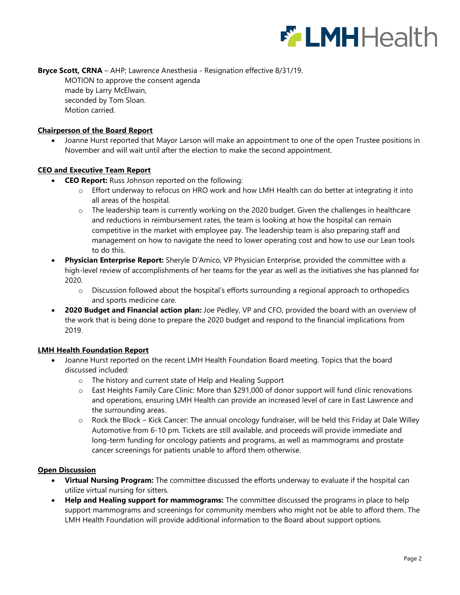

**Bryce Scott, CRNA** – AHP; Lawrence Anesthesia - Resignation effective 8/31/19. MOTION to approve the consent agenda made by Larry McElwain, seconded by Tom Sloan. Motion carried.

### **Chairperson of the Board Report**

 Joanne Hurst reported that Mayor Larson will make an appointment to one of the open Trustee positions in November and will wait until after the election to make the second appointment.

#### **CEO and Executive Team Report**

- **CEO Report:** Russ Johnson reported on the following:
	- o Effort underway to refocus on HRO work and how LMH Health can do better at integrating it into all areas of the hospital.
	- o The leadership team is currently working on the 2020 budget. Given the challenges in healthcare and reductions in reimbursement rates, the team is looking at how the hospital can remain competitive in the market with employee pay. The leadership team is also preparing staff and management on how to navigate the need to lower operating cost and how to use our Lean tools to do this.
- **Physician Enterprise Report:** Sheryle D'Amico, VP Physician Enterprise, provided the committee with a high-level review of accomplishments of her teams for the year as well as the initiatives she has planned for 2020.
	- $\circ$  Discussion followed about the hospital's efforts surrounding a regional approach to orthopedics and sports medicine care.
- **2020 Budget and Financial action plan:** Joe Pedley, VP and CFO, provided the board with an overview of the work that is being done to prepare the 2020 budget and respond to the financial implications from 2019.

#### **LMH Health Foundation Report**

- Joanne Hurst reported on the recent LMH Health Foundation Board meeting. Topics that the board discussed included:
	- o The history and current state of Help and Healing Support
	- o East Heights Family Care Clinic: More than \$291,000 of donor support will fund clinic renovations and operations, ensuring LMH Health can provide an increased level of care in East Lawrence and the surrounding areas.
	- o Rock the Block Kick Cancer: The annual oncology fundraiser, will be held this Friday at Dale Willey Automotive from 6-10 pm. Tickets are still available, and proceeds will provide immediate and long-term funding for oncology patients and programs, as well as mammograms and prostate cancer screenings for patients unable to afford them otherwise.

#### **Open Discussion**

- **Virtual Nursing Program:** The committee discussed the efforts underway to evaluate if the hospital can utilize virtual nursing for sitters.
- **Help and Healing support for mammograms:** The committee discussed the programs in place to help support mammograms and screenings for community members who might not be able to afford them. The LMH Health Foundation will provide additional information to the Board about support options.